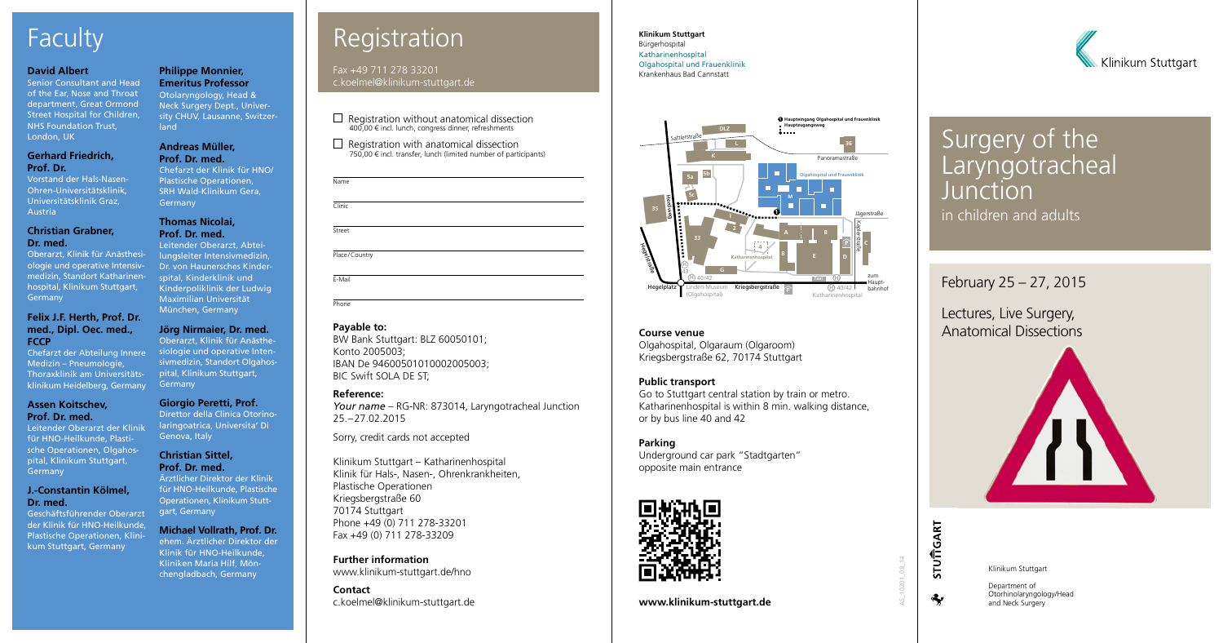**Klinikum Stuttgart** Bürgerhospital Katharinenhospital Olgahospital und Frauenklinik Krankenhaus Bad Cannstatt

Lectures, Live Surgery, **Course venue Course venue Course venue Course venue Course venue Course venue Course in the Anatomical Dissections** 



February 25 – 27, 2015

Olgahospital, Olgaraum (Olgaroom) Kriegsbergstraße 62, 70174 Stuttgart

## **Public transport**

Go to Stuttgart central station by train or metro. Katharinenhospital is within 8 min. walking distance, or by bus line 40 and 42

## **Parking**

Underground car park "Stadtgarten" opposite main entrance



**www.klinikum-stuttgart.de**



AS\_10201\_08\_14

## Surgery of the Laryngotracheal **Junction** in children and adults

# Registration

Fax +49 711 278 33201 c.koelmel@klinikum-stuttgart.de

 $\Box$  Registration without anatomical dissection 400,00 € incl. lunch, congress dinner, refreshments

| Name   |  |  |  |
|--------|--|--|--|
| Clinic |  |  |  |
| Street |  |  |  |
|        |  |  |  |

Place/Country

E-Mail Phone

 $\Box$  Registration with anatomical dissection 750,00 € incl. transfer, lunch (limited number of participants)

## **Payable to:**

BW Bank Stuttgart: BLZ 60050101; Konto 2005003; IBAN De 94600501010002005003; BIC Swift SOLA DE ST;

## **Reference:**

Oberarzt, Klinik für Anästhesiologie und operative Intensivmedizin, Standort Katharinenhospital, Klinikum Stuttgart, **Germany** 

> *Your name* – RG-NR: 873014, Laryngotracheal Junction 25.–27.02.2015

Sorry, credit cards not accepted

Leitender Oberarzt der Klinik für HNO-Heilkunde, Plastische Operationen, Olgahospital, Klinikum Stuttgart, **Germany** 

Klinikum Stuttgart – Katharinenhospital Klinik für Hals-, Nasen-, Ohrenkrankheiten, Plastische Operationen Kriegsbergstraße 60 70174 Stuttgart Phone +49 (0) 711 278-33201 Fax +49 (0) 711 278-33209

**Contact** c.koelmel@klinikum-stuttgart.de

Chefarzt der Klinik für HNO/ Plastische Operationen, SRH Wald-Klinikum Gera, **Germany** 

## Faculty

### **David Albert**

Senior Consultant and Head of the Ear, Nose and Throat department, Great Ormond Street Hospital for Children, NHS Foundation Trust, London, UK

## **Gerhard Friedrich, Prof. Dr.**

Vorstand der Hals-Nasen-Ohren-Universitätsklinik, Universitätsklinik Graz, Austria

### **Christian Grabner, Dr. med.**

## **Felix J.F. Herth, Prof. Dr. med., Dipl. Oec. med., FCCP**

Chefarzt der Abteilung Innere Medizin – Pneumologie, Thoraxklinik am Universitätsklinikum Heidelberg, Germany

### **Assen Koitschev, Prof. Dr. med.**

## **J.-Constantin Kölmel, Dr. med.**

**Further information** www.klinikum-stuttgart.de/hno chengladbach, Germany Klinikum Stuttgart

Geschäftsführender Oberarzt der Klinik für HNO-Heilkunde, Plastische Operationen, Klinikum Stuttgart, Germany

## **Philippe Monnier, Emeritus Professor**

Otolaryngology, Head & Neck Surgery Dept., University CHUV, Lausanne, Switzerland

## **Andreas Müller, Prof. Dr. med.**

### **Thomas Nicolai, Prof. Dr. med.**

Leitender Oberarzt, Abteilungsleiter Intensivmedizin, Dr. von Haunersches Kinderspital, Kinderklinik und Kinderpoliklinik der Ludwig Maximilian Universität München, Germany

## **Jörg Nirmaier, Dr. med.**

Oberarzt, Klinik für Anästhesiologie und operative Intensivmedizin, Standort Olgahospital, Klinikum Stuttgart, Germany

## **Giorgio Peretti, Prof.**

Direttor della Clinica Otorinolaringoatrica, Universita' Di Genova, Italy

### **Christian Sittel, Prof. Dr. med.**

Ärztlicher Direktor der Klinik für HNO-Heilkunde, Plastische Operationen, Klinikum Stuttgart, Germany

## **Michael Vollrath, Prof. Dr.**

ehem. Ärztlicher Direktor der Klinik für HNO-Heilkunde, Kliniken Maria Hilf, Mön-

> Department of Otorhinolaryngology/Head and Neck Surgery